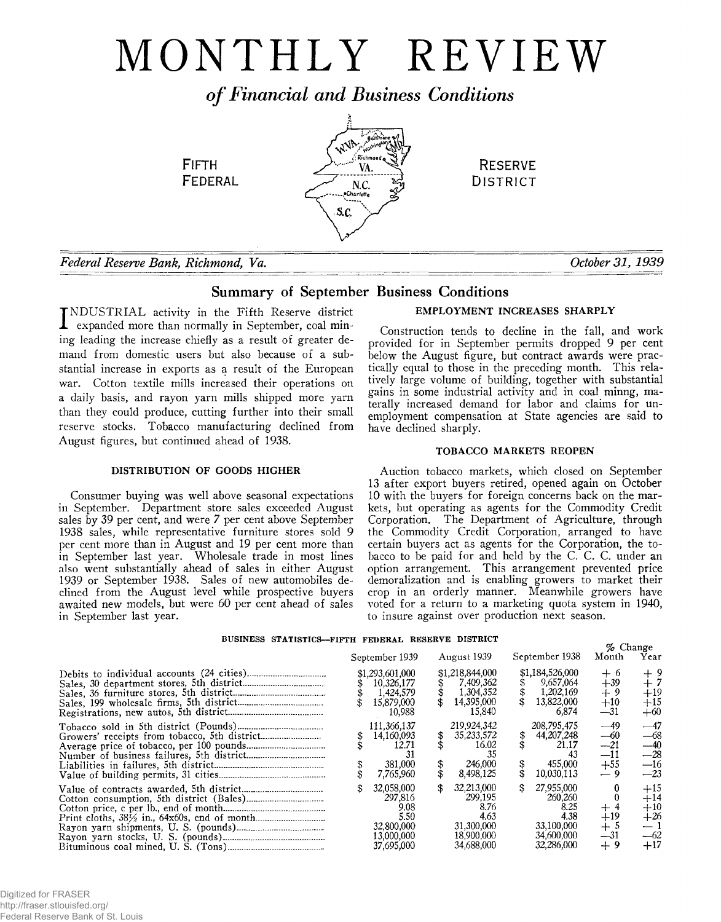# MONTHLY REVIEW

*o f Financial and Business Conditions*

**FIFTH** FEDERAL



**RESERVE DISTRICT** 

*Federal Reserve Bank, Richmond, Va. October 31, 1939*

# Summary of September Business Conditions

INDUSTRIAL activity in the Fifth Reserve district<br>expanded more than normally in September, coal min-INDUSTRIAL activity in the Fifth Reserve district ing leading the increase chiefly as a result of greater demand from domestic users but also because of a substantial increase in exports as a result of the European war. Cotton textile mills increased their operations on a daily basis, and rayon yarn mills shipped more yarn than they could produce, cutting further into their small reserve stocks. Tobacco manufacturing declined from August figures, but continued ahead of 1938.

# DISTRIBUTION OF GOODS HIGHER

Consumer buying was well above seasonal expectations in September. Department store sales exceeded August sales by 39 per cent, and were *7* per cent above September 1938 sales, while representative furniture stores sold 9 per cent more than in August and 19 per cent more than in September last year. Wholesale trade in most lines also went substantially ahead of sales in either August 1939 or September 1938. Sales of new automobiles declined from the August level while prospective buyers awaited new models, but were 60 per cent ahead of sales in September last year.

# EMPLOYMENT INCREASES SHARPLY

Construction tends to decline in the fall, and work provided for in September permits dropped 9 per cent below the August figure, but contract awards were practically equal to those in the preceding month. This relatively large volume of building, together with substantial gains in some industrial activity and in coal minng, materally increased demand for labor and claims for unemployment compensation at State agencies are said to have declined sharply.

# TOBACCO MARKETS REOPEN

Auction tobacco markets, which closed on September 13 after export buyers retired, opened again on October 10 with the buyers for foreign concerns back on the markets, but operating as agents for the Commodity Credit Corporation. The Department of Agriculture, through the Commodity Credit Corporation, arranged to have certain buyers act as agents for the Corporation, the tobacco to be paid for and held by the C. C. C. under an option arrangement. This arrangement prevented price demoralization and is enabling growers to market their crop in an orderly manner. Meanwhile growers have voted for a return to a marketing quota system in 1940, to insure against over production next season.

# **BUSINESS STATISTICS— FIFTH FEDERAL RESERVE DISTRICT**

|  | September 1939                                                                  |   | August 1939                                                                     | September 1938                                                                  | % Change<br>Month                          | Year                                               |
|--|---------------------------------------------------------------------------------|---|---------------------------------------------------------------------------------|---------------------------------------------------------------------------------|--------------------------------------------|----------------------------------------------------|
|  | \$1,293,601,000<br>10,326,177<br>1,424,579<br>15,879,000<br>10,988              |   | \$1,218,844,000<br>7,409,362<br>1,304,352<br>14,395,000<br>15.840               | \$1,184,526,000<br>9,657,064<br>1,202,169<br>13,822,000<br>6,874                | $+6$<br>$+39$<br>$+9$<br>$+10$<br>—31      | +19<br>$+15$<br>$+60$                              |
|  | 111.366,137<br>14,160,093<br>12.71<br>-31<br>381,000<br>7,765,960               | S | 219,924,342<br>35,233,572<br>16.02<br>246,000<br>8.498.125                      | 208,795,475<br>44,207,248<br>21.17<br>43<br>455,000<br>10.030.113               | —49<br>--60<br>--21<br>—11<br>$+55$<br>— 9 | $-47$<br>$-68$<br>$-40$<br>$-28$<br>$-16$<br>$-23$ |
|  | 32.058.000<br>297.816<br>9.08<br>5.50<br>32.800.000<br>13,000,000<br>37.695.000 |   | 32,213,000<br>299.195<br>8.76<br>4.63<br>31,300,000<br>18,900,000<br>34,688,000 | 27,955,000<br>260,260<br>8.25<br>4.38<br>33.100.000<br>34.600,000<br>32,286,000 | $+19$<br>৾<br>--31<br>$+9$                 | $+15$<br>$+14$<br>$+10$<br>$+26$<br>—62<br>$+17$   |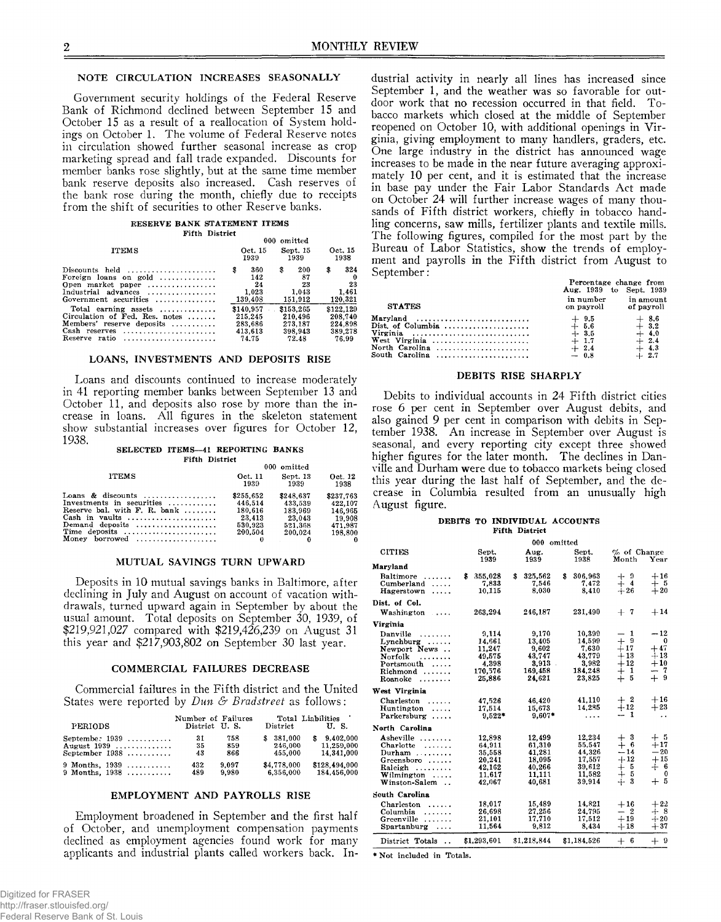## NOTE CIRCULATION INCREASES SEASONALLY

Government security holdings of the Federal Reserve Bank of Richmond declined between September 15 and October 15 as a result of a reallocation of System holdings on October 1. The volume of Federal Reserve notes in circulation showed further seasonal increase as crop marketing spread and fall trade expanded. Discounts for member banks rose slightly, but at the same time member bank reserve deposits also increased. Cash reserves of the bank rose during the month, chiefly due to receipts from the shift of securities to other Reserve banks.

#### **RESERVE BANK STATEMENT ITEMS Fifth District**

|                                                                                                                                                     |   |                                                     |   | 000 omitted                                         |                                                     |
|-----------------------------------------------------------------------------------------------------------------------------------------------------|---|-----------------------------------------------------|---|-----------------------------------------------------|-----------------------------------------------------|
| <b>ITEMS</b>                                                                                                                                        |   | Oct. 15<br>1939                                     |   | Sept. 15<br>1939                                    | Oct. 15<br>1938                                     |
| $Discounts$ held $\ldots \ldots \ldots \ldots \ldots$<br>Foreign loans on gold<br>Open market paper<br>Industrial advances<br>Government securities | s | 360<br>142<br>24<br>1.023<br>139,408                | s | 200<br>87<br>23<br>1.043<br>151,912                 | \$<br>324<br>23<br>1.461<br>120,321                 |
| Total earning assets<br>Circulation of Fed. Res. notes<br>Members' reserve deposits<br>Cash reserves<br>Reserve ratio                               |   | \$140.957<br>215.245<br>283,686<br>413,613<br>74.75 |   | \$153,265<br>210.496<br>273,187<br>398.943<br>72.48 | \$122,129<br>208.740<br>224.898<br>389.278<br>76.99 |

### LOANS, INVESTMENTS AND DEPOSITS RISE

Loans and discounts continued to increase moderately in 41 reporting member banks between September 13 and October 11, and deposits also rose by more than the increase in loans. All figures in the skeleton statement show substantial increases over figures for October 12, 1938.

#### SELECTED ITEMS-41 REPORTING BANKS

| Fifth District                                                                                                                                                                                   |                                                                 |                                                                 |                                                                 |  |
|--------------------------------------------------------------------------------------------------------------------------------------------------------------------------------------------------|-----------------------------------------------------------------|-----------------------------------------------------------------|-----------------------------------------------------------------|--|
|                                                                                                                                                                                                  | 000 omitted                                                     |                                                                 |                                                                 |  |
| <b>ITEMS</b>                                                                                                                                                                                     | Oct. 11<br>1939                                                 | Sept. 13<br>1939                                                | Oct. 12<br>1938                                                 |  |
| Loans & discounts<br>Investments in securities<br>Reserve bal. with $F. R.$ bank $$<br>Cash in vaults<br>Demand deposits<br>Time deposits<br>Money borrowed $\ldots \ldots \ldots \ldots \ldots$ | \$255,652<br>446.514<br>180.616<br>23.413<br>530.923<br>200.504 | \$248.637<br>433.539<br>183,969<br>23,043<br>521.368<br>200.024 | \$237.763<br>422.107<br>146,965<br>19.908<br>471.987<br>198.800 |  |
|                                                                                                                                                                                                  |                                                                 |                                                                 |                                                                 |  |

#### MUTUAL SAVINGS TURN UPWARD

Deposits in 10 mutual savings banks in Baltimore, after declining in July and August on account of vacation withdrawals, turned upward again in September by about the usual amount. Total deposits on September 30, 1939, of \$219,921,027 compared with \$219,426,239 on August 31 this year and \$217,903,802 on September 30 last year.

## COMMERCIAL FAILURES DECREASE

Commercial failures in the Fifth district and the United States were reported by *Dun & Bradstreet* as follows:

| PERIODS            | Number of Failures<br>District U.S. |       | $\mathbf{District}$ | Total Liabilities<br>U.S. |
|--------------------|-------------------------------------|-------|---------------------|---------------------------|
| September 1939     | 31                                  | 758   | \$381,000           | 9.402.000                 |
| August 1939        | 35                                  | 859   | 246,000             | 11.259.000                |
| September $1938$   | 43                                  | 866   | 455,000             | 14.341.000                |
| $9$ Months, $1939$ | 432                                 | 9.097 | \$4,778,000         | \$128,494,000             |
| 9 Months, $1938$   | 489                                 | 9.980 | 6,356,000           | 184,456,000               |

## EMPLOYMENT AND PAYROLLS RISE

Employment broadened in September and the first half of October, and unemployment compensation payments declined as employment agencies found work for many applicants and industrial plants called workers back. Industrial activity in nearly all lines has increased since September 1, and the weather was so favorable for outdoor work that no recession occurred in that field. Tobacco markets which closed at the middle of September reopened on October 10, with additional openings in Virginia, giving employment to many handlers, graders, etc. One large industry in the district has announced wage increases to be made in the near future averaging approximately 10 per cent, and it is estimated that the increase in base pay under the Fair Labor Standards Act made on October 24 will further increase wages of many thousands of Fifth district workers, chiefly in tobacco handling concerns, saw mills, fertilizer plants and textile mills. The following figures, compiled for the most part by the Bureau of Labor Statistics, show the trends of employment and payrolls in the Fifth district from August to September:

|                                                                                                                                         | Percentage change from<br>Aug. 1939 to Sept. 1939         |                                                           |  |  |  |
|-----------------------------------------------------------------------------------------------------------------------------------------|-----------------------------------------------------------|-----------------------------------------------------------|--|--|--|
| <b>STATES</b>                                                                                                                           | in number<br>on payroll of payroll                        | in amount                                                 |  |  |  |
| Maryland<br>Dist. of Columbia $\ldots, \ldots, \ldots, \ldots, \ldots$<br>Virginia<br>West Virginia<br>North Carolina<br>South Carolina | $+9.5$<br>$+ 5.6$<br>$+3.5$<br>$+1.7$<br>$+2.4$<br>$-0.8$ | $+8.6$<br>$+3.2$<br>$+ 4.0$<br>$+2.4$<br>$+4.3$<br>$+2.7$ |  |  |  |

#### DEBITS RISE SHARPLY

Debits to individual accounts in 24 Fifth district cities rose 6 per cent in September over August debits, and also gained 9 per cent in comparison with debits in September 1938. An increase in September over August is seasonal, and every reporting city except three showed higher figures for the later month. The declines in Danville and Durham were due to tobacco markets being closed this year during the last half of September, and the decrease in Columbia resulted from an unusually high August figure.

#### **DEBITS TO INDIVIDUAL ACCOUNTS Fifth District**

|                                                                                                                            |                                                                    | 000                                                                    | omitted                                                            |                                                                             |                                                                 |
|----------------------------------------------------------------------------------------------------------------------------|--------------------------------------------------------------------|------------------------------------------------------------------------|--------------------------------------------------------------------|-----------------------------------------------------------------------------|-----------------------------------------------------------------|
| <b>CITIES</b>                                                                                                              | Sept.<br>1939                                                      | Aug.<br>1939                                                           | Sept.<br>1938                                                      | % of Change<br>Month                                                        | Year                                                            |
| Maryland                                                                                                                   |                                                                    |                                                                        |                                                                    |                                                                             |                                                                 |
| Baltimore<br>.<br>Cumberland<br>$\cdots$<br>Hagerstown                                                                     | \$<br>355,028<br>7,833<br>10,115                                   | \$<br>325.562<br>7,546<br>8.030                                        | \$<br>306.963<br>7.472<br>8,410                                    | $+ 9$<br>$+ 4$<br>$+26$                                                     | $+16$<br>$+5$<br>$+20$                                          |
| Dist. of Col.                                                                                                              |                                                                    |                                                                        |                                                                    |                                                                             |                                                                 |
| Washington<br>$\sim$ $\sim$ $\sim$ $\sim$                                                                                  | 263,294                                                            | 246,187                                                                | 231,490                                                            | $+$ 7                                                                       | $+14$                                                           |
| Virginia                                                                                                                   |                                                                    |                                                                        |                                                                    |                                                                             |                                                                 |
| Danville<br>.<br>$Lynchburg \ldots$<br>Newport News<br>Norfolk<br>.<br>$Portsmooth$ ,<br>Richmond<br>Roanoke               | 9,114<br>14,661<br>11,247<br>49.575<br>4.398<br>170.576<br>25,886  | 9.170<br>13,405<br>9.602<br>43,747<br>3,913<br>ł.<br>169,458<br>24.621 | 10,399<br>14,599<br>7.630<br>43,779<br>3,982<br>184.248<br>23.825  | -1<br>—<br>$+9$<br>$+17$<br>$+13$<br>$+12$<br>-1<br>$\, +$<br>- 5<br>$+$    | $-12$<br>$\Omega$<br>$+47$<br>$+13$<br>$+10$<br>-7<br>-<br>$+9$ |
| West Virginia                                                                                                              |                                                                    |                                                                        |                                                                    |                                                                             |                                                                 |
| Charleston<br>1.1.1.1.1<br>Huntington<br>.<br>Parkersburg                                                                  | 47.526<br>17,514<br>$9.522*$                                       | 46,420<br>15,673<br>$9.607*$                                           | 41,110<br>14.285<br>.                                              | $+2$<br>$+12$<br>$\mathbf{1}$<br>---                                        | $+16$<br>$+23$<br>$\ddot{\phantom{1}}$                          |
| North Carolina                                                                                                             |                                                                    |                                                                        |                                                                    |                                                                             |                                                                 |
| Asheville<br>Charlotte<br>.<br>Durham<br>Greensboro<br>Raleigh<br>.<br>$William $<br>Winston-Salem<br>$\ddot{\phantom{a}}$ | 12.898<br>64,911<br>35,558<br>20,241<br>42,162<br>11.617<br>42,067 | 12,499<br>61.310<br>41,281<br>18,095<br>40.266<br>11.111<br>40.681     | 12.234<br>55,547<br>44,326<br>17,557<br>39.612<br>11,582<br>39.914 | $+3$<br>- 6<br>$^{+}$<br>$-14$<br>$+12$<br>$+$ 5<br>$+$<br>- 5<br>-3<br>$+$ | + 5<br>$+17$<br>$-20$<br>$+15$<br>$+$ 6<br>$\mathbf{0}$<br>$+5$ |
| South Carolina                                                                                                             |                                                                    |                                                                        |                                                                    |                                                                             |                                                                 |
| Charleston<br>.<br>Columbia<br>.<br>Greenville<br>Spartanburg                                                              | 18,017<br>26,698<br>21.101<br>11.564                               | 15,489<br>27.256<br>17,710<br>9.812                                    | 14,821<br>24.795<br>17,512<br>8.434                                | $+16$<br>$-2$<br>$+19$<br>$+18$                                             | $+22$<br>$+8$<br>$+20$<br>$+37$                                 |
| District Totals<br>$\ddot{\phantom{a}}$                                                                                    | \$1,293,601                                                        | \$1,218,844                                                            | \$1,184,526                                                        | $^{+}$<br>- 6                                                               | $+9$                                                            |

**\* Not included in Totals.**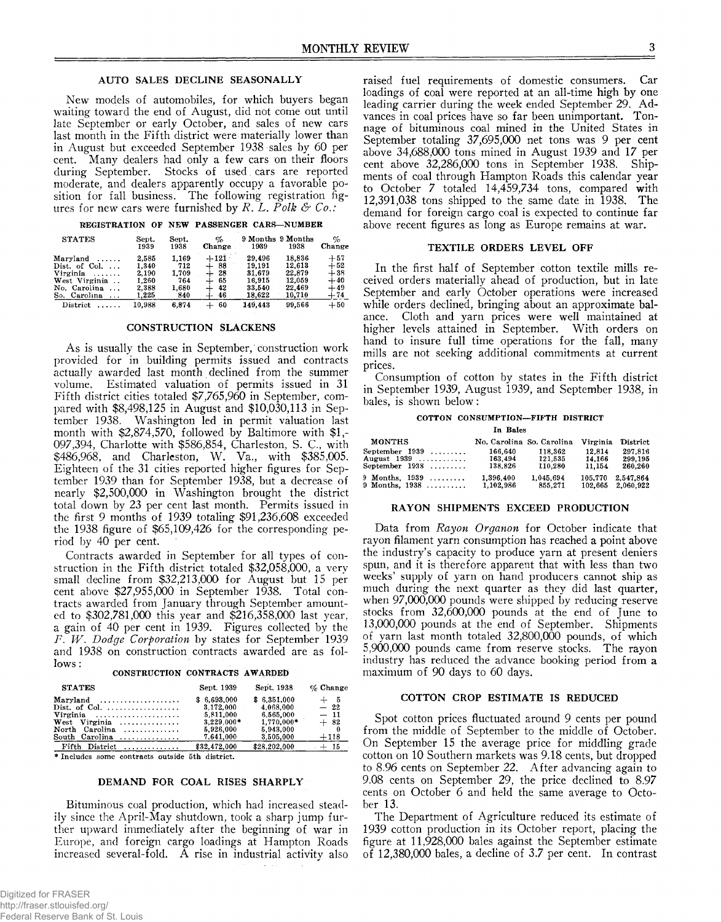# AUTO SALES DECLINE SEASONALLY

New models of automobiles, for which buyers began waiting toward the end of August, did not come out until late September or early October, and sales of new cars last month in the Fifth district were materially lower than in August but exceeded September 1938 sales by 60 per cent. Many dealers had only a few cars on their floors during September. Stocks of used. cars are reported moderate, and dealers apparently occupy a favorable position for fall business. The following registration figures for new cars were furnished by *R. L. Polk & Co.:*

**REGISTRATION OF NEW PASSENGER CARS— NUMBER**

| <b>STATES</b>            | Sept.<br>1939 | Sept.<br>1938 | %<br>Change | 1939    | 9 Months 9 Months<br>1938 | %<br>Change |
|--------------------------|---------------|---------------|-------------|---------|---------------------------|-------------|
| Maryland<br>1.1.1.1.1    | 2,585         | 1.169         | $+121$      | 29,496  | 18.836                    | $+57$       |
| Dist. of Col. $\ldots$   | 1.340         | 712           | -88<br>┵    | 19.191  | 12.613                    | $+52$       |
| Virginia<br>.            | 2.190         | 1.709         | -28<br>+    | 31.679  | 22.879                    | $+38$       |
| West Virginia            | 1.260         | 764           | 65          | 16.915  | 12,059                    | $+40$       |
| No. Carolina<br>$\cdots$ | 2,388         | 1,680         | 42<br>┿     | 33,540  | 22.469                    | $+49$       |
| So. Carolina<br>$\cdots$ | 1,225         | 840           | 46          | 18,622  | 10,710                    | $+74$       |
| District                 | 10.988        | 6.874         | 60<br>$+$   | 149.443 | 99.566                    | $+50$       |

# CONSTRUCTION SLACKENS

As is usually the case in September, construction work provided for in building permits issued and contracts actually awarded last month declined from the summer volume. Estimated valuation of permits issued in 31 Fifth district cities totaled \$7,765,960 in September, compared with \$8,498,125 in August and \$10,030,113 in September 1938. Washington led in permit valuation last month with \$2,874,570, followed by Baltimore with \$1,- 097,394, Charlotte with \$586,854, Charleston, S. C., with \$486,968, and Charleston, W. Va., with \$385,005. Eighteen of the 31 cities reported higher figures for September 1939 than for September 1938, but a decrease of nearly \$2,500,000 in Washington brought the district total down by 23 per cent last month. Permits issued in the first 9 months of 1939 totaling \$91,236,608 exceeded the 1938 figure of \$65,109,426 for the corresponding period by 40 per cent.

Contracts awarded in September for all types of construction in the Fifth district totaled \$32,058,000, a very small decline from \$32,213,000 for August but 15 per cent above \$27,955,000 in September 1938. Total contracts awarded from January through September amounted to \$302,781,000 this year and \$216,358,000 last year, a gain of 40 per cent in 1939. Figures collected by the *F. W . Dodge Corporation* by states for September 1939 and 1938 on construction contracts awarded are as follows :

| CONSTRUCTION CONTRACTS AWARDED |  |
|--------------------------------|--|
|                                |  |

| <b>STATES</b>                                                                                 | Sept. 1939                                                         | Sept. 1938                                                         | $\%$ Change                      |
|-----------------------------------------------------------------------------------------------|--------------------------------------------------------------------|--------------------------------------------------------------------|----------------------------------|
| $Maryland \dots \dots \dots \dots \dots \dots$<br>Dist. of Col.<br>Virginia<br>North Carolina | \$6.693.000<br>3.172.000<br>5.811.000<br>$3.229.000*$<br>5.926.000 | \$6.351.000<br>4.068.000<br>6.565.000<br>$1.770,000*$<br>5.943.000 | $+ 5$<br>$-22$<br>$-11$<br>$+82$ |
| South Carolina                                                                                | 7,641,000                                                          | 3,505,000                                                          | $+118$                           |
| $Fifth$ District                                                                              | \$32,472.000                                                       | \$28,202,000                                                       | $+$ 15                           |

**\* Includes some contracts outside 5th district.**

# DEMAND FOR COAL RISES SHARPLY

Bituminous coal production, which had increased steadily since the April-May shutdown, took a sharp jump further upward immediately after the beginning of war in Europe, and foreign cargo loadings at Hampton Roads increased several-fold. A rise in industrial activity also raised fuel requirements of domestic consumers. Car loadings of coal were reported at an all-time high by one leading carrier during the week ended September 29. Advances in coal prices have so far been unimportant. Tonnage of bituminous coal mined in the United States in September totaling 37,695,000 net tons was 9 per cent above 34,688,000 tons mined in August 1939 and 17 per cent above 32,286,000 tons in September 1938. Shipments of coal through Hampton Roads this calendar year to October 7 totaled 14,459,734 tons, compared with 12,391,038 tons shipped to the same date in 1938. The demand for foreign cargo coal is expected to continue far above recent figures as long as Europe remains at war.

# TEXTILE ORDERS LEVEL OFF

In the first half of September cotton textile mills received orders materially ahead of production, but in late September and early October operations were increased while orders declined, bringing about an approximate balance. Cloth and yarn prices were well maintained at higher levels attained in September. With orders on hand to insure full time operations for the fall, many mills are not seeking additional commitments at current prices.

Consumption of cotton by states in the Fifth district in September 1939, August 1939, and September 1938, in bales, is shown below :

#### **COTTON CONSUMPTION— FIFTH DISTRICT**

**In Bales**

| <b>MONTHS</b>  | No. Carolina So. Carolina |           | Virginia | District  |
|----------------|---------------------------|-----------|----------|-----------|
| September 1939 | 166.640                   | 118.362   | 12.814   | 297.816   |
| August 1939    | 163.494                   | 121.535   | 14.166   | 299.195   |
| September 1938 | 138.826                   | 110.280   | 11.154   | 260,260   |
| 9 Months. 1939 | 1,396,400                 | 1.045.694 | 105,770  | 2.547.864 |
| 9 Months. 1938 | 1.102.986                 | 855.271   | 102.665  | 2.060.922 |

# RAYON SHIPMENTS EXCEED PRODUCTION

Data from *Rayon Organon* for October indicate that rayon filament yarn consumption has reached a point above the industry's capacity to produce yarn at present deniers spun, and it is therefore apparent that with less than two weeks' supply of yarn on hand producers cannot ship as much during the next quarter as they did last quarter, when 97,000,000 pounds were shipped by reducing reserve stocks from 32,600,000 pounds at the end of June to 13,000,000 pounds at the end of September. Shipments of yarn last month totaled 32,800,000 pounds, of which 5,900,000 pounds came from reserve stocks. The rayon industry has reduced the advance booking period from a maximum of 90 days to 60 days.

### COTTON CROP ESTIMATE IS REDUCED

Spot cotton prices fluctuated around 9 cents per pound from the middle of September to the middle of October. On September 15 the average price for middling grade cotton on 10 Southern markets was 9.18 cents, but dropped to 8.96 cents on September 22. After advancing again to 9.08 cents on September 29, the price declined to 8.97 cents on October 6 and held the same average to October 13.

The Department of Agriculture reduced its estimate of 1939 cotton production in its October report, placing the figure at 11,928,000 bales against the September estimate of 12,380,000 bales, a decline of 3.7 per cent. In contrast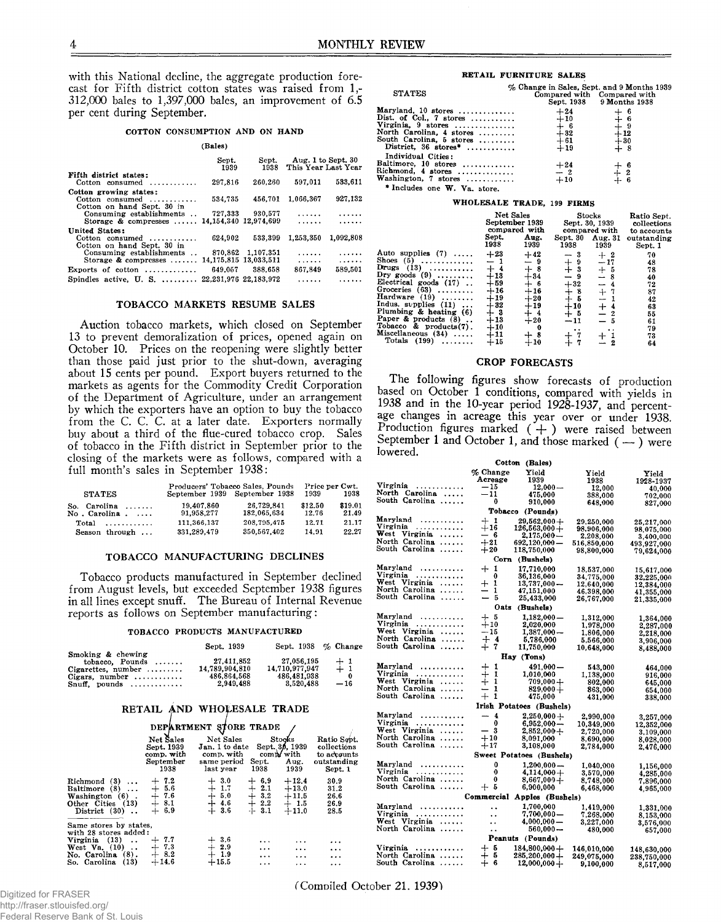with this National decline, the aggregate production forecast for Fifth district cotton states was raised from 1,- 312,000 bales to 1,397,000 bales, an improvement of 6.5 per cent during September.

#### **COTTON CONSUMPTION AND ON HAND**

#### **(Bales)**

|                                                                          | Sept.<br>1939         | Sept.<br>1938     | Aug. 1 to Sept. 30<br>This Year Last Year |           |
|--------------------------------------------------------------------------|-----------------------|-------------------|-------------------------------------------|-----------|
| Fifth district states:<br>$Cotten$ consumed                              | 297.816               | 260,260           | 597.011                                   | 533,611   |
| Cotton growing states:<br>Cotton consumed<br>Cotton on hand Sept. 30 in  | 534,735               | 456.701           | 1.066.367                                 | 927.132   |
| Consuming establishments<br>Storage & compresses  14,154,340 12.974.699  | 727.333               | 930.577           | .<br>.                                    |           |
| United States:<br>Cotton consumed $\ldots$<br>Cotton on hand Sept. 30 in | 624.902               | 533.399           | 1,253,350                                 | 1.092.808 |
| Consuming establishments<br>Storage & compresses  14,175,815 13,033,511  |                       | 870,862 1,107,351 | .<br>.                                    | .<br>.    |
| Exports of cotton $\ldots$                                               | 649.057               | 388,658           | 867.849                                   | 589.501   |
| Spindles active, $U$ , $S$ , $\dots \dots$                               | 22.231.976 22.183.972 |                   |                                           |           |

#### TOBACCO MARKETS RESUME SALES

Auction tobacco markets, which closed on September 13 to prevent demoralization of prices, opened again on October 10. Prices on the reopening were slightly better than those paid just prior to the shut-down, averaging about 15 cents per pound. Export buyers returned to the markets as agents for the Commodity Credit Corporation of the Department of Agriculture, under an arrangement by which the exporters have an option to buy the tobacco from the C. C. C. at a later date. Exporters normally buy about a third of the flue-cured tobacco crop. Sales of tobacco in the Fifth district in September prior to the closing of the markets were as follows, compared with a full month's sales in September 1938:

|                                         | Producers' Tobacco Sales, Pounds | Price per Cwt.                |                  |                  |
|-----------------------------------------|----------------------------------|-------------------------------|------------------|------------------|
| <b>STATES</b>                           |                                  | September 1939 September 1938 | 1939             | 1938             |
| So. Carolina $\ldots$ .<br>No. Carolina | 19.407.860<br>91,958,277         | 26.729.841<br>182.065.634     | \$12.50<br>12.76 | \$19.01<br>21.49 |
|                                         | 111.366.137                      | 208.795.475                   | 12.71            | 21.17            |
| Season through                          | 331.289.479                      | 350,567,402                   | 14.91            | 22.27            |

#### TOBACCO MANUFACTURING DECLINES

Tobacco products manufactured in September declined from August levels, but exceeded September 1938 figures in all lines except snuff. The Bureau of Internal Revenue reports as follows on September manufacturing:

#### **TOBACCO PRODUCTS MANUFACTURED**

|                                         | Sept. 1939     | Sept. 1938 % Change |       |
|-----------------------------------------|----------------|---------------------|-------|
| Smoking & chewing<br>$topacco. Pounds $ | 27.411.852     | 27.056.195          | $+1$  |
| $C \text{is}$ rettes, number            | 14.789.904.810 | 14.710.977.947      | $+1$  |
| Cigars, number $\ldots$                 | 486.864.568    | 486.481.938         | - 0   |
| $Snuff$ , pounds                        | 2.949.488      | 3.520.488           | $-16$ |

# RETAIL AND WHOLESALE TRADE

|                                                                                                                                          | <b>DEPARTMENT</b>                                          |                                                                       | STORE TRADE                                      |                                                       |                                                                     |
|------------------------------------------------------------------------------------------------------------------------------------------|------------------------------------------------------------|-----------------------------------------------------------------------|--------------------------------------------------|-------------------------------------------------------|---------------------------------------------------------------------|
|                                                                                                                                          | Net Sales<br>Sept. 1939<br>comp. with<br>September<br>1938 | Net Sales<br>Jan. 1 to date<br>comp. with<br>same period<br>last year | Sept.<br>1938                                    | Stocks<br>Sept. 30, 1939<br>comp/with<br>Aug.<br>1939 | Ratio Sept.<br>collections<br>to accounts<br>outstanding<br>Sept. 1 |
| (3)<br>Richmond<br>$\ddotsc$<br>Baltimore (8)<br>Washington $(6)$ .<br>Other Cities (13)<br>District (30)                                | $+7.2$<br>5.6<br>-7.6<br>$^{+}$<br>8.1<br>$+ 6.9$          | - 3.0<br>1.7<br>$\ddagger$<br>5.0<br>4.6<br>-3.6                      | 6.9<br>┿<br>2.1<br>3.2<br>┿<br>2.2<br>$-1 - 3.1$ | $+12.4$<br>$+13.0$<br>$+11.5$<br>$+1.5$<br>$+11.0$    | 30.9<br>31.2<br>26.6<br>26.9<br>28.5                                |
| Same stores by states,<br>with 28 stores added:<br>Virginia (13)<br>$\ddotsc$<br>West Va. (10)<br>No. Carolina (8).<br>So. Carolina (13) | $+7.7$<br>7.3<br>8.2<br>$\pm$<br>$+14.6$                   | $+3.6$<br>$+2.9$<br>$+1.9$<br>$+15.5$                                 | .<br>.<br>.<br>$\cdots$                          | $\cdots$<br>.<br>$\cdots$<br>$\cdots$                 | .<br>$\cdots$<br>.<br>                                              |

#### **RETAIL FURNITURE SALES**

| Maryland, 10 stores<br>$+24$<br>$\begin{array}{c} + & 6 \\ + & 6 \\ + & 9 \\ + & 12 \\ + & 30 \\ + & 8 \end{array}$<br>Dist. of Col., 7 stores<br>$+10$<br>Virginia. $9$ stores<br>$\begin{array}{r} +\phantom{0}6\ +\phantom{0}82\ +\phantom{0}61\ +\phantom{0}19\ \hline \end{array}$<br>North Carolina, 4 stores $\ldots$<br>South Carolina, 5 stores<br>District, $36 \text{ stores}^*$<br>Individual Cities:<br>Baltimore, 10 stores<br>Baltimore, 10 stores $+24$<br>Richmond, 4 stores $-2$<br>$\begin{array}{c} + 6 \\ + 2 \\ + 6 \end{array}$<br>Washington, 7 stores<br>$+10$ | <b>STATES</b>                | % Change in Sales, Sept. and 9 Months 1939 | Compared with Compared with<br>Sept. 1938 9 Months 1938 |  |
|-----------------------------------------------------------------------------------------------------------------------------------------------------------------------------------------------------------------------------------------------------------------------------------------------------------------------------------------------------------------------------------------------------------------------------------------------------------------------------------------------------------------------------------------------------------------------------------------|------------------------------|--------------------------------------------|---------------------------------------------------------|--|
|                                                                                                                                                                                                                                                                                                                                                                                                                                                                                                                                                                                         |                              |                                            |                                                         |  |
|                                                                                                                                                                                                                                                                                                                                                                                                                                                                                                                                                                                         |                              |                                            |                                                         |  |
|                                                                                                                                                                                                                                                                                                                                                                                                                                                                                                                                                                                         |                              |                                            |                                                         |  |
|                                                                                                                                                                                                                                                                                                                                                                                                                                                                                                                                                                                         |                              |                                            |                                                         |  |
|                                                                                                                                                                                                                                                                                                                                                                                                                                                                                                                                                                                         |                              |                                            |                                                         |  |
|                                                                                                                                                                                                                                                                                                                                                                                                                                                                                                                                                                                         |                              |                                            |                                                         |  |
|                                                                                                                                                                                                                                                                                                                                                                                                                                                                                                                                                                                         |                              |                                            |                                                         |  |
|                                                                                                                                                                                                                                                                                                                                                                                                                                                                                                                                                                                         |                              |                                            |                                                         |  |
|                                                                                                                                                                                                                                                                                                                                                                                                                                                                                                                                                                                         |                              |                                            |                                                         |  |
|                                                                                                                                                                                                                                                                                                                                                                                                                                                                                                                                                                                         |                              |                                            |                                                         |  |
|                                                                                                                                                                                                                                                                                                                                                                                                                                                                                                                                                                                         | * Includes one W. Va. store. |                                            |                                                         |  |

#### **WHOLESALE TRADE, 199 FIRMS**

|                                                                                            | Sept.<br>1938                    | Net Sales<br>September 1939<br>compared with<br>Aug.<br>1939 | Sept. 30 Aug. 31<br>1938 | Stocks<br>Sept. 30, 1939<br>compared with<br>1939 | Ratio Sept.<br>collections<br>to accounts<br>outstanding<br>Sept. 1 |
|--------------------------------------------------------------------------------------------|----------------------------------|--------------------------------------------------------------|--------------------------|---------------------------------------------------|---------------------------------------------------------------------|
| Auto supplies $(7)$<br>Shoes $(5)$<br>Drugs $(13)$                                         | $+23$<br>$+4$                    | $+42$<br>- 9<br>$+8$                                         | - 3<br>9<br>3            | $+2$<br>$-17$<br>┿<br>- 5                         | 70<br>48<br>78                                                      |
| Dry goods $(9)$<br>Electrical goods (17)<br>Groceries $(63)$                               | $+13$<br>$+59$<br>$+16$          | $+34$<br>- 6<br>$+16$                                        | 9<br>$+32$<br>- 8        | $+7$                                              | 40<br>72<br>87                                                      |
| Hardware $(19)$<br>Indus. supplies (11)<br>Plumbing & heating $(6)$                        | $+19$<br>$+32$<br>$+3$           | $+20$<br>$+19$                                               | - 5<br>$+10$<br>- 5      | $\overline{\phantom{0}}$<br>$\div$                | 42<br>63<br>55                                                      |
| Paper & products (8)<br>Tobacco & products $(7)$ .<br>Miscellaneous $(34)$<br>Totals (199) | $+13$<br>$+10$<br>$+11$<br>$+15$ | $+20$<br>0<br>10                                             | $-11$<br>7               |                                                   | 61<br>79<br>73<br>64                                                |

#### CROP FORECASTS

The following figures show forecasts of production based on October 1 conditions, compared with yields in 1938 and in the 10-year period 1928-1937, and percentage changes in acreage this year over or under 1938. Production figures marked  $( + )$  were raised between September 1 and October 1, and those marked  $($ — $)$  were lowered.

|                | Cotton               | (Bales)                  |             |             |
|----------------|----------------------|--------------------------|-------------|-------------|
|                | % Change             | Yield                    | Yield       | Yield       |
|                | Acreage              | 1939                     | 1938        | 1928-1937   |
| Virginia<br>.  | - 15                 | $12,000-$                | 12.000      | 40,000      |
| North Carolina | $-11$                | 475,000                  | 388,000     | 702,000     |
| South Carolina | 0                    | 910,000                  | 648,000     | 827,000     |
|                |                      | Tobacco (Pounds)         |             |             |
| Maryland<br>.  | $+1$                 | $29,562,000+$            | 29,250,000  | 25,217,000  |
| Virginia<br>.  | $+16$                | $126,563,000+$           | 98,906,000  | 98,075,000  |
| West Virginia  | — 6                  | $2,175,000-$             | 2,208,000   | 3,400,000   |
| North Carolina | $+21$                | 692,120,000 -            | 516,850,000 | 493,927,000 |
| South Carolina | $+20$                | 118,750,000              | 98,800,000  | 79,624,000  |
|                | Corn                 | (Bushels)                |             |             |
| Maryland       | $+1$                 | 17,710,000               | 18,537,000  | 15,617,000  |
| Virginia<br>.  | 0                    | 36,136,000               | 34,775,000  | 32,225,000  |
| West Virginia  | $+$<br>-1            | $13,737,000 -$           | 12,640,000  | 12,384,000  |
| North Carolina | — 1                  | 47,151,000               | 46,398,000  | 41,355,000  |
| South Carolina | — 5                  | 25,433,000               | 26,767,000  | 21,335,000  |
|                | Oats                 | (Bushels)                |             |             |
| Maryland       | $+$ 5                | $1.182.000 -$            | 1,312,000   | 1,364,000   |
| Virginia       | $+10$                | 2,020,000                | 1,978,000   | 2,287,000   |
| West Virginia  | — 15                 | $1,387,000-$             | 1,806,000   | 2,218,000   |
| North Carolina | $+4$                 | 5,786,000                | 5,566,000   | 3.906,000   |
| South Carolina | $+7$                 | 11,750,000               | 10,648,000  | 8,488,000   |
|                |                      | Hay (Tons)               |             |             |
| Maryland       | $+1$                 | 491.000 —                | 543,000     | 464,000     |
| Virginia       | $+1$                 | 1,010,000                | 1,138,000   | 916,000     |
| West Virginia  | $+1$                 | $709,000 +$              | 802,000     | 645.000     |
| North Carolina | — 1                  | $829,000+$               | 863,000     | 654,000     |
| South Carolina | $+$<br>1             | 475,000                  | 431,000     | 338,000     |
|                |                      | Irish Potatoes (Bushels) |             |             |
| Maryland       | $-4$                 | $2,250,000+$             | 2,990,000   | 3,257,000   |
| Virginia       | 0                    | $6.952.000 -$            | 10,349,000  | 12,352,000  |
| West Virginia  | — 3                  | $2,852,000 +$            | 2,720,000   | 3,109,000   |
| North Carolina | $+10$                | 8,091,000                | 8,690,000   | 8,028,000   |
| South Carolina | $+17$                | 3,108,000                | 2,784,000   | 2,476,000   |
|                |                      | Sweet Potatoes (Bushels) |             |             |
| Maryland<br>.  | 0                    | $1,200,000 -$            | 1,040,000   | 1,156,000   |
| Virginia       | 0                    | $4.114.000 +$            | 3,570,000   | 4,285,000   |
| North Carolina | 0                    | $8,667,000 +$            | 8,748,000   | 7,896,000   |
| South Carolina | $+5$                 | 6,900,000                | 6,468,000   | 4,965,000   |
|                | Commercial           | Apples (Bushels)         |             |             |
| Maryland       |                      | 1,700,000                | 1,419,000   | 1,331,000   |
| Virginia<br>.  | $\ddot{\phantom{0}}$ | $7,700,000 -$            | 7,268,000   | 8,153,000   |
| West Virginia  | . .                  | $4,000,000 -$            | 3,227,000   | 3,576,000   |
| North Carolina | $\ddot{\phantom{a}}$ | $560,000 -$              | 480,000     | 657.000     |
|                |                      | Peanuts (Pounds)         |             |             |
| Virginia       | $+5$                 | $184,800,000 +$          | 146,010,000 | 148,630,000 |
| North Carolina | $+5$                 | $285,200,000 +$          | 249,075,000 | 238.750.000 |
| South Carolina | -6<br>$+$            | $12,000,000 +$           | 9,100,000   | 8.517.000   |

(Compiled October 21. 1939^

Digitized for FRASER http://fraser.stlouisfed.org/ Federal Reserve Bank of St. Louis